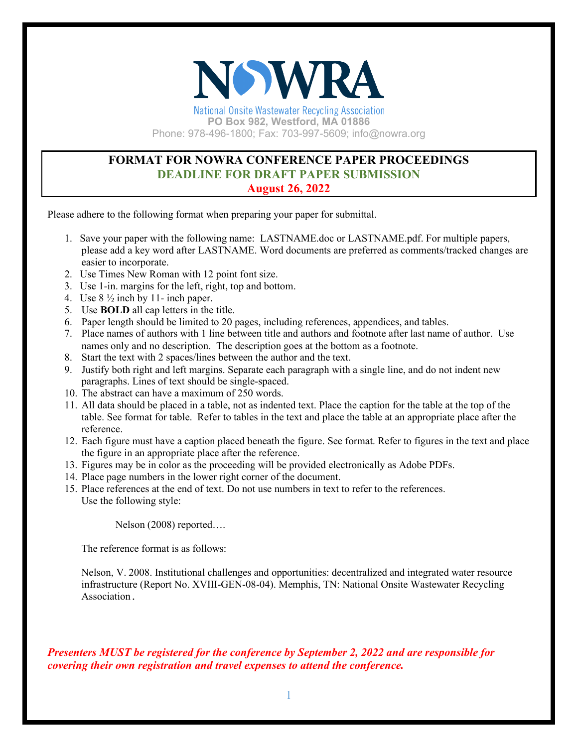

**National Onsite Wastewater Recycling Association PO Box 982, Westford, MA 01886** Phone: 978-496-1800; Fax: 703-997-5609; info@nowra.org

# **FORMAT FOR NOWRA CONFERENCE PAPER PROCEEDINGS DEADLINE FOR DRAFT PAPER SUBMISSION August 26, 2022**

Please adhere to the following format when preparing your paper for submittal.

- 1. Save your paper with the following name: LASTNAME.doc or LASTNAME.pdf. For multiple papers, please add a key word after LASTNAME. Word documents are preferred as comments/tracked changes are easier to incorporate.
- 2. Use Times New Roman with 12 point font size.
- 3. Use 1-in. margins for the left, right, top and bottom.
- 4. Use 8 ½ inch by 11- inch paper.
- 5. Use **BOLD** all cap letters in the title.
- 6. Paper length should be limited to 20 pages, including references, appendices, and tables.
- 7. Place names of authors with 1 line between title and authors and footnote after last name of author. Use names only and no description. The description goes at the bottom as a footnote.
- 8. Start the text with 2 spaces/lines between the author and the text.
- 9. Justify both right and left margins. Separate each paragraph with a single line, and do not indent new paragraphs. Lines of text should be single-spaced.
- 10. The abstract can have a maximum of 250 words.
- 11. All data should be placed in a table, not as indented text. Place the caption for the table at the top of the table. See format for table. Refer to tables in the text and place the table at an appropriate place after the reference.
- 12. Each figure must have a caption placed beneath the figure. See format. Refer to figures in the text and place the figure in an appropriate place after the reference.
- 13. Figures may be in color as the proceeding will be provided electronically as Adobe PDFs.
- 14. Place page numbers in the lower right corner of the document.
- 15. Place references at the end of text. Do not use numbers in text to refer to the references. Use the following style:

Nelson (2008) reported….

The reference format is as follows:

Nelson, V. 2008. Institutional challenges and opportunities: decentralized and integrated water resource infrastructure (Report No. XVIII-GEN-08-04). Memphis, TN: National Onsite Wastewater Recycling Association.

*Presenters MUST be registered for the conference by September 2, 2022 and are responsible for covering their own registration and travel expenses to attend the conference.*